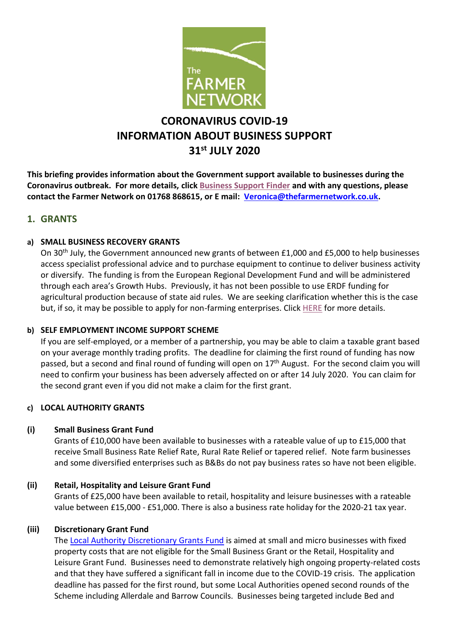

# **CORONAVIRUS COVID-19 INFORMATION ABOUT BUSINESS SUPPORT 31st JULY 2020**

**This briefing provides information about the Government support available to businesses during the Coronavirus outbreak. For more details, click [Business Support Finder](https://cumbriatourism.us12.list-manage.com/track/click?u=ef8c33aa36fdad5eaaf3b5f86&id=3c19af329f&e=41ca6314a8) and with any questions, please contact the Farmer Network on 01768 868615, or E mail: [Veronica@thefarmernetwork.co.uk.](mailto:Veronica@thefarmernetwork.co.uk)**

# **1. GRANTS**

#### **a) SMALL BUSINESS RECOVERY GRANTS**

On 30th July, the Government announced new grants of between £1,000 and £5,000 to help businesses access specialist professional advice and to purchase equipment to continue to deliver business activity or diversify. The funding is from the European Regional Development Fund and will be administered through each area's Growth Hubs. Previously, it has not been possible to use ERDF funding for agricultural production because of state aid rules. We are seeking clarification whether this is the case but, if so, it may be possible to apply for non-farming enterprises. Click [HERE](https://cumbriatourism.us12.list-manage.com/track/click?u=ef8c33aa36fdad5eaaf3b5f86&id=850c43adcf&e=41ca6314a8) for more details.

# **b) SELF EMPLOYMENT INCOME SUPPORT SCHEME**

If you are self-employed, or a member of a partnership, you may be able to claim a taxable grant based on your average monthly trading profits. The deadline for claiming the first round of funding has now passed, but a second and final round of funding will open on 17<sup>th</sup> August. For the second claim you will need to confirm your business has been adversely affected on or after 14 July 2020. You can claim for the second grant even if you did not make a claim for the first grant.

# **c) LOCAL AUTHORITY GRANTS**

# **(i) Small Business Grant Fund**

Grants of £10,000 have been available to businesses with a rateable value of up to £15,000 that receive Small Business Rate Relief Rate, Rural Rate Relief or tapered relief. Note farm businesses and some diversified enterprises such as B&Bs do not pay business rates so have not been eligible.

#### **(ii) Retail, Hospitality and Leisure Grant Fund**

Grants of £25,000 have been available to retail, hospitality and leisure businesses with a rateable value between £15,000 - £51,000. There is also a business rate holiday for the 2020-21 tax year.

#### **(iii) Discretionary Grant Fund**

The [Local Authority Discretionary Grants Fund](https://www.gov.uk/guidance/apply-for-the-coronavirus-local-authority-discretionary-grants-fund) is aimed at small and micro businesses with fixed property costs that are not eligible for the Small Business Grant or the Retail, Hospitality and Leisure Grant Fund. Businesses need to demonstrate relatively high ongoing property-related costs and that they have suffered a significant fall in income due to the COVID-19 crisis. The application deadline has passed for the first round, but some Local Authorities opened second rounds of the Scheme including Allerdale and Barrow Councils. Businesses being targeted include Bed and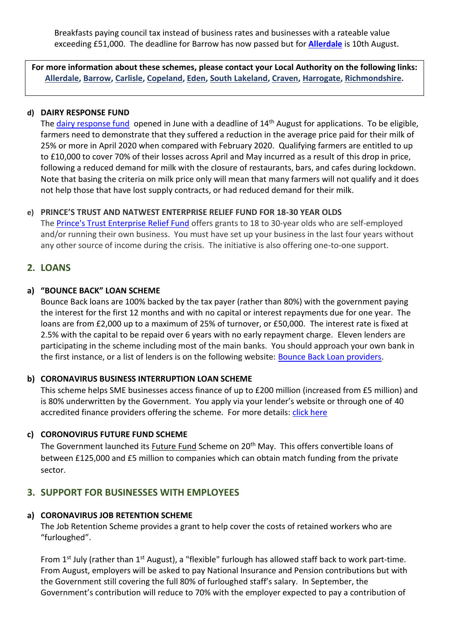Breakfasts paying council tax instead of business rates and businesses with a rateable value exceeding £51,000. The deadline for Barrow has now passed but for **[Allerdale](https://cumbriatourism.us12.list-manage.com/track/click?u=ef8c33aa36fdad5eaaf3b5f86&id=b4de41374b&e=41ca6314a8)** is 10th August.

**For more information about these schemes, please contact your Local Authority on the following links: [Allerdale,](https://thefarmernetwork.us18.list-manage.com/track/click?u=d2c0b7f3bc788181759b2126a&id=a060f14ae0&e=3f65b10053) [Barrow,](https://thefarmernetwork.us18.list-manage.com/track/click?u=d2c0b7f3bc788181759b2126a&id=fba4b14eeb&e=3f65b10053) [Carlisle,](https://thefarmernetwork.us18.list-manage.com/track/click?u=d2c0b7f3bc788181759b2126a&id=dca8084cd7&e=3f65b10053) [Copeland,](https://thefarmernetwork.us18.list-manage.com/track/click?u=d2c0b7f3bc788181759b2126a&id=06940a608e&e=3f65b10053) [Eden,](https://thefarmernetwork.us18.list-manage.com/track/click?u=d2c0b7f3bc788181759b2126a&id=93b712f431&e=3f65b10053) [South Lakeland,](https://thefarmernetwork.us18.list-manage.com/track/click?u=d2c0b7f3bc788181759b2126a&id=33146f2bc1&e=3f65b10053) [Craven,](https://thefarmernetwork.us18.list-manage.com/track/click?u=d2c0b7f3bc788181759b2126a&id=f129a47543&e=3f65b10053) [Harrogate,](https://thefarmernetwork.us18.list-manage.com/track/click?u=d2c0b7f3bc788181759b2126a&id=6fe128448f&e=3f65b10053) [Richmondshire.](https://thefarmernetwork.us18.list-manage.com/track/click?u=d2c0b7f3bc788181759b2126a&id=54ec780fd2&e=3f65b10053)**

#### **d) DAIRY RESPONSE FUND**

The [dairy response fund](https://www.gov.uk/government/news/dairy-response-fund-set-to-open-for-applications) opened in June with a deadline of 14<sup>th</sup> August for applications. To be eligible, farmers need to demonstrate that they suffered a reduction in the average price paid for their milk of 25% or more in April 2020 when compared with February 2020. Qualifying farmers are entitled to up to £10,000 to cover 70% of their losses across April and May incurred as a result of this drop in price, following a reduced demand for milk with the closure of restaurants, bars, and cafes during lockdown. Note that basing the criteria on milk price only will mean that many farmers will not qualify and it does not help those that have lost supply contracts, or had reduced demand for their milk.

# **e) PRINCE'S TRUST AND NATWEST ENTERPRISE RELIEF FUND FOR 18-30 YEAR OLDS**

The [Prince's Trust Enterprise Relief Fund](https://www.princes-trust.org.uk/about-the-trust/coronavirus-response/enterprise-relief-fund?gclid=Cj0KCQjwrIf3BRD1ARIsAMuugNvaJm8iYn-b55nloRBPGybeu1J4rAGPY96MBOyqzJlJdfiMfJjl9tIaAiR6EALw_wcB) offers grants to 18 to 30-year olds who are self-employed and/or running their own business. You must have set up your business in the last four years without any other source of income during the crisis. The initiative is also offering one-to-one support.

# **2. LOANS**

#### **a) "BOUNCE BACK" LOAN SCHEME**

Bounce Back loans are 100% backed by the tax payer (rather than 80%) with the government paying the interest for the first 12 months and with no capital or interest repayments due for one year. The loans are from £2,000 up to a maximum of 25% of turnover, or £50,000. The interest rate is fixed at 2.5% with the capital to be repaid over 6 years with no early repayment charge. Eleven lenders are participating in the scheme including most of the main banks. You should approach your own bank in the first instance, or a list of lenders is on the following website: **Bounce Back Loan providers**.

# **b) CORONAVIRUS BUSINESS INTERRUPTION LOAN SCHEME**

This scheme helps SME businesses access finance of up to £200 million (increased from £5 million) and is 80% underwritten by the Government. You apply via your lender's website or through one of [40](https://www.british-business-bank.co.uk/ourpartners/coronavirus-business-interruption-loan-scheme-cbils/accredited-lenders/)  [accredited finance](https://www.british-business-bank.co.uk/ourpartners/coronavirus-business-interruption-loan-scheme-cbils/accredited-lenders/) providers offering the scheme. For more details: [click here](https://www.british-business-bank.co.uk/ourpartners/coronavirus-business-interruption-loan-scheme-cbils-2/?gclid=EAIaIQobChMI_Nnc28zH6QIViLHtCh2MPwTjEAAYASAAEgIiWvD_BwE)

#### **c) CORONOVIRUS FUTURE FUND SCHEME**

The Government launched its **[Future Fund](https://caav.us12.list-manage.com/track/click?u=fcb469965a6cd3b7da31ea8ae&id=eebe5c1e38&e=926cf75356)** Scheme on 20<sup>th</sup> May. This offers convertible loans of between £125,000 and £5 million to companies which can obtain match funding from the private sector.

# **3. SUPPORT FOR BUSINESSES WITH EMPLOYEES**

# **a) CORONAVIRUS JOB RETENTION SCHEME**

The Job Retention Scheme provides a grant to help cover the costs of retained workers who are "furloughed".

From 1<sup>st</sup> July (rather than 1<sup>st</sup> August), a "flexible" furlough has allowed staff back to work part-time. From August, employers will be asked to pay National Insurance and Pension contributions but with the Government still covering the full 80% of furloughed staff's salary. In September, the Government's contribution will reduce to 70% with the employer expected to pay a contribution of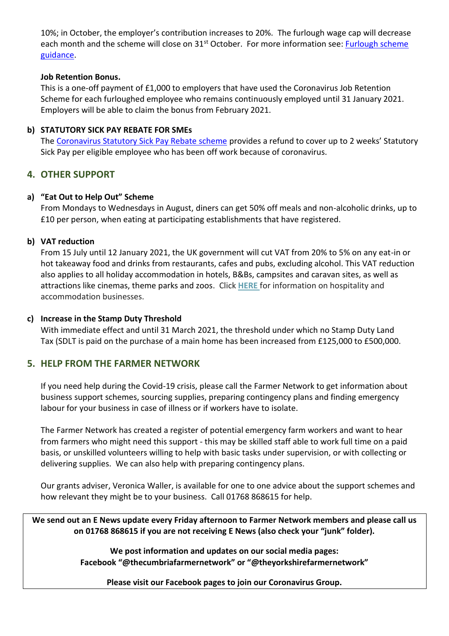10%; in October, the employer's contribution increases to 20%. The furlough wage cap will decrease each month and the scheme will close on 31<sup>st</sup> October. For more information see: **Furlough scheme** [guidance.](https://www.gov.uk/guidance/claim-for-wages-through-the-coronavirus-job-retention-scheme)

#### **Job Retention Bonus.**

This is a one-off payment of £1,000 to employers that have used the Coronavirus Job Retention Scheme for each furloughed employee who remains continuously employed until 31 January 2021. Employers will be able to claim the bonus from February 2021.

# **b) STATUTORY SICK PAY REBATE FOR SMEs**

The [Coronavirus Statutory Sick Pay Rebate scheme](https://caav.us12.list-manage.com/track/click?u=fcb469965a6cd3b7da31ea8ae&id=85a8fb14ea&e=926cf75356) provides a refund to cover up to 2 weeks' Statutory Sick Pay per eligible employee who has been off work because of coronavirus.

# **4. OTHER SUPPORT**

# **a) "Eat Out to Help Out" Scheme**

From Mondays to Wednesdays in August, diners can get 50% off meals and non-alcoholic drinks, up to £10 per person, when eating at participating establishments that have registered.

#### **b) VAT reduction**

From 15 July until 12 January 2021, the UK government will cut VAT from 20% to 5% on any eat-in or hot takeaway food and drinks from restaurants, cafes and pubs, excluding alcohol. This VAT reduction also applies to all holiday accommodation in hotels, B&Bs, campsites and caravan sites, as well as attractions like cinemas, theme parks and zoos. Click **[HERE](https://cumbriatourism.us12.list-manage.com/track/click?u=ef8c33aa36fdad5eaaf3b5f86&id=29b84c369d&e=41ca6314a8)** for information on hospitality and accommodation businesses.

#### **c) Increase in the Stamp Duty Threshold**

With immediate effect and until 31 March 2021, the threshold under which no Stamp Duty Land Tax (SDLT is paid on the purchase of a main home has been increased from £125,000 to £500,000.

# **5. HELP FROM THE FARMER NETWORK**

If you need help during the Covid-19 crisis, please call the Farmer Network to get information about business support schemes, sourcing supplies, preparing contingency plans and finding emergency labour for your business in case of illness or if workers have to isolate.

The Farmer Network has created a register of potential emergency farm workers and want to hear from farmers who might need this support - this may be skilled staff able to work full time on a paid basis, or unskilled volunteers willing to help with basic tasks under supervision, or with collecting or delivering supplies. We can also help with preparing contingency plans.

Our grants adviser, Veronica Waller, is available for one to one advice about the support schemes and how relevant they might be to your business. Call 01768 868615 for help.

**We send out an E News update every Friday afternoon to Farmer Network members and please call us on 01768 868615 if you are not receiving E News (also check your "junk" folder).** 

> **We post information and updates on our social media pages: Facebook "@thecumbriafarmernetwork" or "@theyorkshirefarmernetwork"**

**Please visit our Facebook pages to join our Coronavirus Group.**